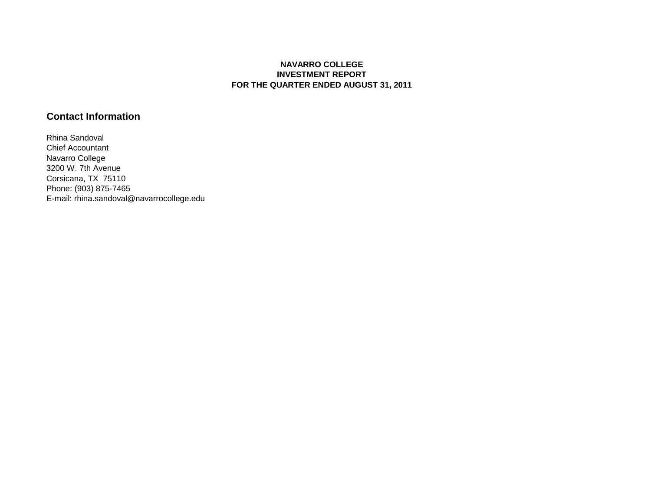#### **NAVARRO COLLEGE INVESTMENT REPORT FOR THE QUARTER ENDED AUGUST 31, 2011**

## **Contact Information**

Rhina Sandoval Chief Accountant Navarro College 3200 W. 7th Avenue Corsicana, TX 75110 Phone: (903) 875-7465 E-mail: rhina.sandoval@navarrocollege.edu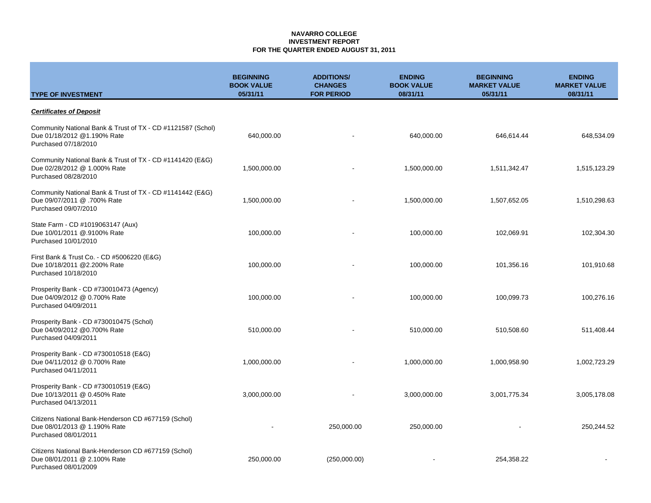### **NAVARRO COLLEGE INVESTMENT REPORT FOR THE QUARTER ENDED AUGUST 31, 2011**

| <b>TYPE OF INVESTMENT</b>                                                                                          | <b>BEGINNING</b><br><b>BOOK VALUE</b><br>05/31/11 | <b>ADDITIONS/</b><br><b>CHANGES</b><br><b>FOR PERIOD</b> | <b>ENDING</b><br><b>BOOK VALUE</b><br>08/31/11 | <b>BEGINNING</b><br><b>MARKET VALUE</b><br>05/31/11 | <b>ENDING</b><br><b>MARKET VALUE</b><br>08/31/11 |
|--------------------------------------------------------------------------------------------------------------------|---------------------------------------------------|----------------------------------------------------------|------------------------------------------------|-----------------------------------------------------|--------------------------------------------------|
| <b>Certificates of Deposit</b>                                                                                     |                                                   |                                                          |                                                |                                                     |                                                  |
| Community National Bank & Trust of TX - CD #1121587 (Schol)<br>Due 01/18/2012 @1.190% Rate<br>Purchased 07/18/2010 | 640,000.00                                        |                                                          | 640,000.00                                     | 646,614.44                                          | 648,534.09                                       |
| Community National Bank & Trust of TX - CD #1141420 (E&G)<br>Due 02/28/2012 @ 1.000% Rate<br>Purchased 08/28/2010  | 1,500,000.00                                      |                                                          | 1,500,000.00                                   | 1,511,342.47                                        | 1,515,123.29                                     |
| Community National Bank & Trust of TX - CD #1141442 (E&G)<br>Due 09/07/2011 @ .700% Rate<br>Purchased 09/07/2010   | 1,500,000.00                                      |                                                          | 1,500,000.00                                   | 1,507,652.05                                        | 1,510,298.63                                     |
| State Farm - CD #1019063147 (Aux)<br>Due 10/01/2011 @.9100% Rate<br>Purchased 10/01/2010                           | 100,000.00                                        |                                                          | 100,000.00                                     | 102,069.91                                          | 102,304.30                                       |
| First Bank & Trust Co. - CD #5006220 (E&G)<br>Due 10/18/2011 @2.200% Rate<br>Purchased 10/18/2010                  | 100,000.00                                        |                                                          | 100,000.00                                     | 101,356.16                                          | 101,910.68                                       |
| Prosperity Bank - CD #730010473 (Agency)<br>Due 04/09/2012 @ 0.700% Rate<br>Purchased 04/09/2011                   | 100,000.00                                        |                                                          | 100,000.00                                     | 100,099.73                                          | 100,276.16                                       |
| Prosperity Bank - CD #730010475 (Schol)<br>Due 04/09/2012 @0.700% Rate<br>Purchased 04/09/2011                     | 510,000.00                                        |                                                          | 510,000.00                                     | 510,508.60                                          | 511,408.44                                       |
| Prosperity Bank - CD #730010518 (E&G)<br>Due 04/11/2012 @ 0.700% Rate<br>Purchased 04/11/2011                      | 1,000,000.00                                      |                                                          | 1,000,000.00                                   | 1,000,958.90                                        | 1,002,723.29                                     |
| Prosperity Bank - CD #730010519 (E&G)<br>Due 10/13/2011 @ 0.450% Rate<br>Purchased 04/13/2011                      | 3,000,000.00                                      |                                                          | 3,000,000.00                                   | 3,001,775.34                                        | 3,005,178.08                                     |
| Citizens National Bank-Henderson CD #677159 (Schol)<br>Due 08/01/2013 @ 1.190% Rate<br>Purchased 08/01/2011        |                                                   | 250,000.00                                               | 250,000.00                                     |                                                     | 250,244.52                                       |
| Citizens National Bank-Henderson CD #677159 (Schol)<br>Due 08/01/2011 @ 2.100% Rate<br>Purchased 08/01/2009        | 250,000.00                                        | (250,000.00)                                             |                                                | 254,358.22                                          |                                                  |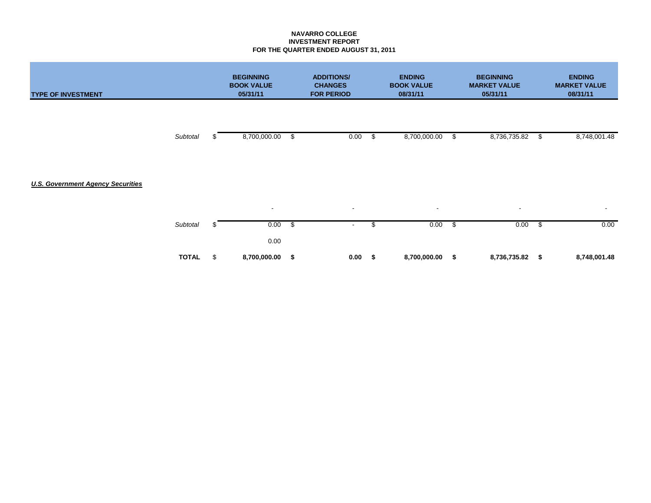### **NAVARRO COLLEGE INVESTMENT REPORT FOR THE QUARTER ENDED AUGUST 31, 2011**

| <b>TYPE OF INVESTMENT</b>                |              |    | <b>BEGINNING</b><br><b>BOOK VALUE</b><br>05/31/11 |                         | <b>ADDITIONS/</b><br><b>CHANGES</b><br><b>FOR PERIOD</b> | <b>ENDING</b><br><b>BOOK VALUE</b><br>08/31/11 |              | <b>BEGINNING</b><br><b>MARKET VALUE</b><br>05/31/11 | <b>ENDING</b><br><b>MARKET VALUE</b><br>08/31/11 |                           |              |
|------------------------------------------|--------------|----|---------------------------------------------------|-------------------------|----------------------------------------------------------|------------------------------------------------|--------------|-----------------------------------------------------|--------------------------------------------------|---------------------------|--------------|
|                                          | Subtotal     |    | 8,700,000.00                                      | \$                      | 0.00                                                     | $\frac{1}{2}$                                  | 8,700,000.00 | \$                                                  | 8,736,735.82                                     | $\boldsymbol{\mathsf{S}}$ | 8,748,001.48 |
| <b>U.S. Government Agency Securities</b> |              |    |                                                   |                         |                                                          |                                                |              |                                                     |                                                  |                           |              |
|                                          |              |    | $\blacksquare$                                    |                         | $\sim$                                                   |                                                | $\sim$       |                                                     | $\overline{\phantom{a}}$                         |                           | $\sim$       |
|                                          | Subtotal     |    | 0.00<br>0.00                                      | $\sqrt[6]{\frac{1}{2}}$ | $\blacksquare$                                           | \$                                             | 0.00         | $\sqrt[6]{3}$                                       | 0.00                                             | $\frac{1}{2}$             | 0.00         |
|                                          | <b>TOTAL</b> | \$ | 8,700,000.00                                      | \$                      | 0.00                                                     | \$                                             | 8,700,000.00 | \$                                                  | 8,736,735.82                                     | \$                        | 8,748,001.48 |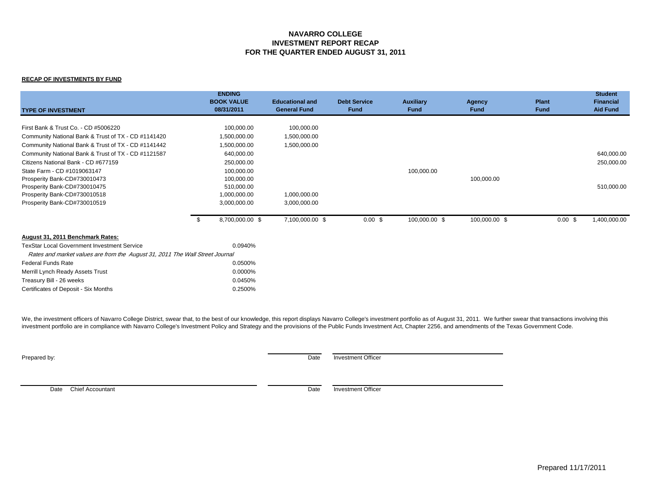#### **NAVARRO COLLEGE INVESTMENT REPORT RECAP FOR THE QUARTER ENDED AUGUST 31, 2011**

#### **RECAP OF INVESTMENTS BY FUND**

| <b>TYPE OF INVESTMENT</b>                                                    |     | <b>ENDING</b><br><b>BOOK VALUE</b><br>08/31/2011 | <b>Educational and</b><br><b>General Fund</b> | <b>Debt Service</b><br>Fund | <b>Auxiliary</b><br><b>Fund</b> | <b>Agency</b><br><b>Fund</b> | <b>Plant</b><br><b>Fund</b> | <b>Student</b><br><b>Financial</b><br><b>Aid Fund</b> |
|------------------------------------------------------------------------------|-----|--------------------------------------------------|-----------------------------------------------|-----------------------------|---------------------------------|------------------------------|-----------------------------|-------------------------------------------------------|
| First Bank & Trust Co. - CD #5006220                                         |     |                                                  |                                               |                             |                                 |                              |                             |                                                       |
|                                                                              |     | 100,000.00                                       | 100,000.00                                    |                             |                                 |                              |                             |                                                       |
| Community National Bank & Trust of TX - CD #1141420                          |     | 1,500,000.00                                     | 1,500,000.00                                  |                             |                                 |                              |                             |                                                       |
| Community National Bank & Trust of TX - CD #1141442                          |     | 1,500,000.00                                     | 1,500,000.00                                  |                             |                                 |                              |                             |                                                       |
| Community National Bank & Trust of TX - CD #1121587                          |     | 640,000.00                                       |                                               |                             |                                 |                              |                             | 640,000.00                                            |
| Citizens National Bank - CD #677159                                          |     | 250,000.00                                       |                                               |                             |                                 |                              |                             | 250,000.00                                            |
| State Farm - CD #1019063147                                                  |     | 100,000.00                                       |                                               |                             | 100,000.00                      |                              |                             |                                                       |
| Prosperity Bank-CD#730010473                                                 |     | 100,000.00                                       |                                               |                             |                                 | 100,000.00                   |                             |                                                       |
| Prosperity Bank-CD#730010475                                                 |     | 510,000.00                                       |                                               |                             |                                 |                              |                             | 510,000.00                                            |
| Prosperity Bank-CD#730010518                                                 |     | 1,000,000.00                                     | 1,000,000.00                                  |                             |                                 |                              |                             |                                                       |
| Prosperity Bank-CD#730010519                                                 |     | 3,000,000.00                                     | 3,000,000.00                                  |                             |                                 |                              |                             |                                                       |
|                                                                              | -\$ | 8,700,000.00 \$                                  | 7,100,000.00 \$                               | $0.00$ \$                   | 100,000.00 \$                   | 100,000.00 \$                | 0.00~\$                     | 1,400,000.00                                          |
| August 31, 2011 Benchmark Rates:                                             |     |                                                  |                                               |                             |                                 |                              |                             |                                                       |
| <b>TexStar Local Government Investment Service</b>                           |     | 0.0940%                                          |                                               |                             |                                 |                              |                             |                                                       |
| Rates and market values are from the August 31, 2011 The Wall Street Journal |     |                                                  |                                               |                             |                                 |                              |                             |                                                       |
| <b>Federal Funds Rate</b>                                                    |     | 0.0500%                                          |                                               |                             |                                 |                              |                             |                                                       |
| Merrill Lynch Ready Assets Trust                                             |     | 0.0000%                                          |                                               |                             |                                 |                              |                             |                                                       |
| Treasury Bill - 26 weeks                                                     |     | 0.0450%                                          |                                               |                             |                                 |                              |                             |                                                       |
| Certificates of Deposit - Six Months                                         |     | 0.2500%                                          |                                               |                             |                                 |                              |                             |                                                       |

We, the investment officers of Navarro College District, swear that, to the best of our knowledge, this report displays Navarro College's investment portfolio as of August 31, 2011. We further swear that transactions invol investment portfolio are in compliance with Navarro College's Investment Policy and Strategy and the provisions of the Public Funds Investment Act, Chapter 2256, and amendments of the Texas Government Code.

**Prepared by:** Date Investment Officer

Date Chief Accountant Date Investment Officer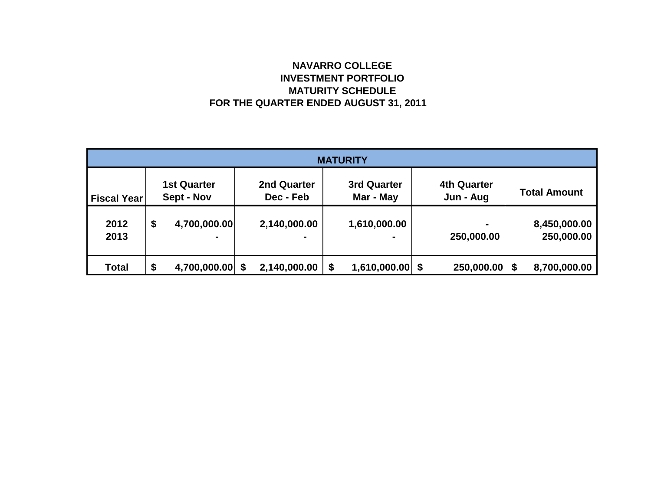# **NAVARRO COLLEGE INVESTMENT PORTFOLIO MATURITY SCHEDULE FOR THE QUARTER ENDED AUGUST 31, 2011**

| <b>MATURITY</b>    |    |                                  |    |                                 |    |                          |  |                                 |  |                            |  |
|--------------------|----|----------------------------------|----|---------------------------------|----|--------------------------|--|---------------------------------|--|----------------------------|--|
| <b>Fiscal Year</b> |    | <b>1st Quarter</b><br>Sept - Nov |    | <b>2nd Quarter</b><br>Dec - Feb |    | 3rd Quarter<br>Mar - May |  | <b>4th Quarter</b><br>Jun - Aug |  | <b>Total Amount</b>        |  |
| 2012<br>2013       | \$ | 4,700,000.00                     |    | 2,140,000.00                    |    | 1,610,000.00             |  | $\blacksquare$<br>250,000.00    |  | 8,450,000.00<br>250,000.00 |  |
| <b>Total</b>       | \$ | 4,700,000.00                     | \$ | 2,140,000.00                    | \$ | $1,610,000.00$ \$        |  | 250,000.00 \$                   |  | 8,700,000.00               |  |